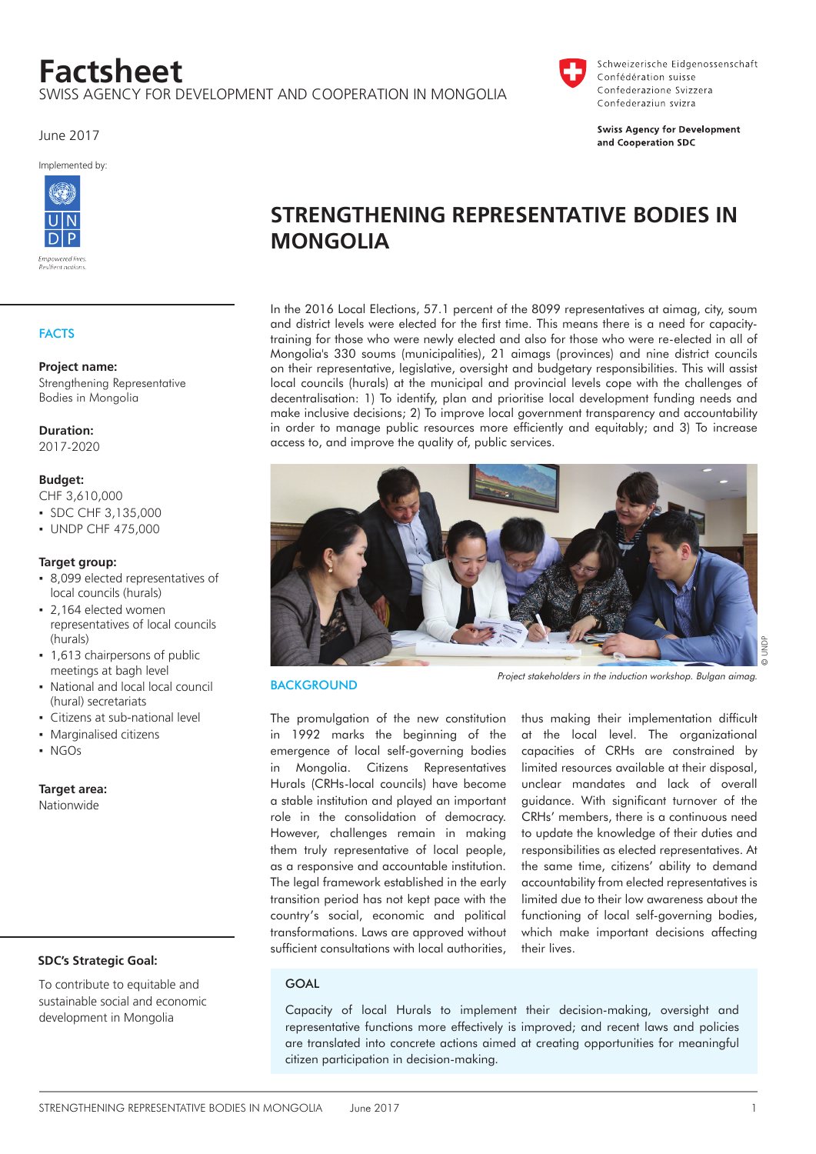# **Factsheet**

swiss agency for development and cooperation in mongolia

June 2017

Implemented by:



# **FACTS**

#### **Project name:**

Strengthening Representative Bodies in Mongolia

#### **Duration:**

2017-2020

#### **Budget:**

CHF 3,610,000

- ▪ SDC CHF 3,135,000
- **UNDP CHF 475,000**

#### **Target group:**

- 8,099 elected representatives of local councils (hurals)
- 2,164 elected women representatives of local councils (hurals)
- 1,613 chairpersons of public meetings at bagh level
- National and local local council (hural) secretariats
- Citizens at sub-national level
- Marginalised citizens
- ▪ NGOs

**Target area:**

nationwide

# **SDC's Strategic Goal:**

To contribute to equitable and sustainable social and economic development in Mongolia

# **Strengthening Representative Bodies in Mongolia**

In the 2016 Local Elections, 57.1 percent of the 8099 representatives at aimag, city, soum and district levels were elected for the first time. This means there is a need for capacitytraining for those who were newly elected and also for those who were re-elected in all of Mongolia's 330 soums (municipalities), 21 aimags (provinces) and nine district councils on their representative, legislative, oversight and budgetary responsibilities. This will assist local councils (hurals) at the municipal and provincial levels cope with the challenges of decentralisation: 1) To identify, plan and prioritise local development funding needs and make inclusive decisions; 2) To improve local government transparency and accountability in order to manage public resources more efficiently and equitably; and 3) To increase access to, and improve the quality of, public services.



#### **BACKGROUND**

The promulgation of the new constitution in 1992 marks the beginning of the emergence of local self-governing bodies in Mongolia. Citizens Representatives Hurals (CRHs-local councils) have become a stable institution and played an important role in the consolidation of democracy. However, challenges remain in making them truly representative of local people, as a responsive and accountable institution. The legal framework established in the early transition period has not kept pace with the country's social, economic and political transformations. Laws are approved without sufficient consultations with local authorities,

thus making their implementation difficult at the local level. The organizational capacities of CRHs are constrained by limited resources available at their disposal, unclear mandates and lack of overall guidance. With significant turnover of the CRHs' members, there is a continuous need to update the knowledge of their duties and responsibilities as elected representatives. At the same time, citizens' ability to demand accountability from elected representatives is limited due to their low awareness about the functioning of local self-governing bodies, which make important decisions affecting their lives.

# **GOAL**

Capacity of local Hurals to implement their decision-making, oversight and representative functions more effectively is improved; and recent laws and policies are translated into concrete actions aimed at creating opportunities for meaningful citizen participation in decision-making.



Schweizerische Eidgenossenschaft Confédération suisse Confederazione Svizzera Confederaziun svizra

**Swiss Agency for Development** and Cooperation SDC